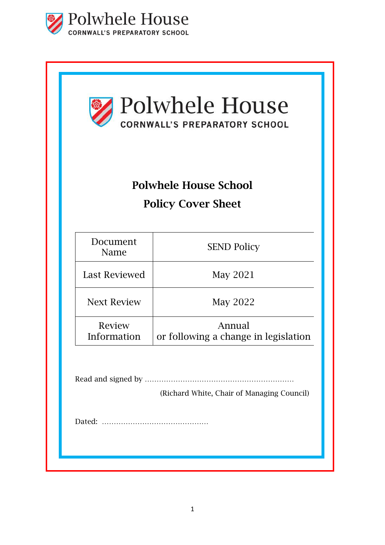

| Polwhele House<br><b>CORNWALL'S PREPARATORY SCHOOL</b><br><b>Polwhele House School</b><br><b>Policy Cover Sheet</b> |                                                |
|---------------------------------------------------------------------------------------------------------------------|------------------------------------------------|
|                                                                                                                     |                                                |
| Last Reviewed                                                                                                       | May 2021                                       |
| <b>Next Review</b>                                                                                                  | May 2022                                       |
| Review<br>Information                                                                                               | Annual<br>or following a change in legislation |
|                                                                                                                     | (Richard White, Chair of Managing Council)     |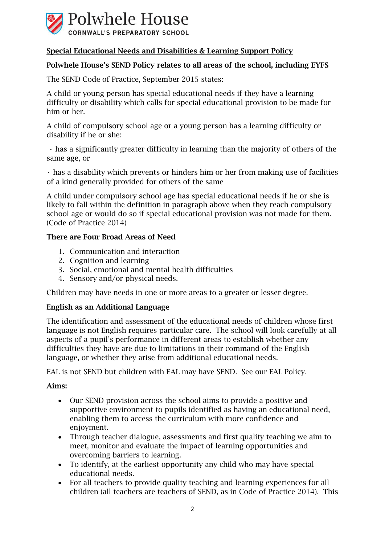

# Special Educational Needs and Disabilities & Learning Support Policy

## Polwhele House's SEND Policy relates to all areas of the school, including EYFS

The SEND Code of Practice, September 2015 states:

A child or young person has special educational needs if they have a learning difficulty or disability which calls for special educational provision to be made for him or her.

A child of compulsory school age or a young person has a learning difficulty or disability if he or she:

• has a significantly greater difficulty in learning than the majority of others of the same age, or

• has a disability which prevents or hinders him or her from making use of facilities of a kind generally provided for others of the same

A child under compulsory school age has special educational needs if he or she is likely to fall within the definition in paragraph above when they reach compulsory school age or would do so if special educational provision was not made for them. (Code of Practice 2014)

## There are Four Broad Areas of Need

- 1. Communication and interaction
- 2. Cognition and learning
- 3. Social, emotional and mental health difficulties
- 4. Sensory and/or physical needs.

Children may have needs in one or more areas to a greater or lesser degree.

## English as an Additional Language

The identification and assessment of the educational needs of children whose first language is not English requires particular care. The school will look carefully at all aspects of a pupil's performance in different areas to establish whether any difficulties they have are due to limitations in their command of the English language, or whether they arise from additional educational needs.

EAL is not SEND but children with EAL may have SEND. See our EAL Policy.

## Aims:

- Our SEND provision across the school aims to provide a positive and supportive environment to pupils identified as having an educational need, enabling them to access the curriculum with more confidence and enjoyment.
- Through teacher dialogue, assessments and first quality teaching we aim to meet, monitor and evaluate the impact of learning opportunities and overcoming barriers to learning.
- To identify, at the earliest opportunity any child who may have special educational needs.
- For all teachers to provide quality teaching and learning experiences for all children (all teachers are teachers of SEND, as in Code of Practice 2014). This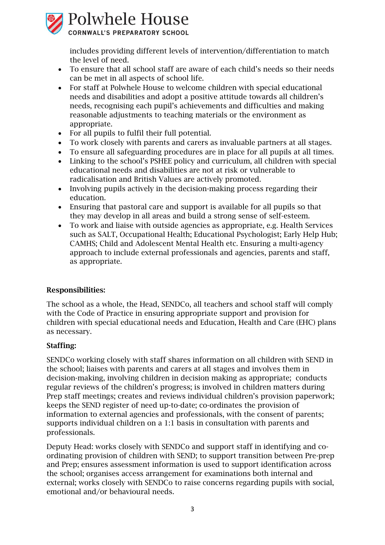

includes providing different levels of intervention/differentiation to match the level of need.

- To ensure that all school staff are aware of each child's needs so their needs can be met in all aspects of school life.
- For staff at Polwhele House to welcome children with special educational needs and disabilities and adopt a positive attitude towards all children's needs, recognising each pupil's achievements and difficulties and making reasonable adjustments to teaching materials or the environment as appropriate.
- For all pupils to fulfil their full potential.
- To work closely with parents and carers as invaluable partners at all stages.
- To ensure all safeguarding procedures are in place for all pupils at all times.
- Linking to the school's PSHEE policy and curriculum, all children with special educational needs and disabilities are not at risk or vulnerable to radicalisation and British Values are actively promoted.
- Involving pupils actively in the decision-making process regarding their education.
- Ensuring that pastoral care and support is available for all pupils so that they may develop in all areas and build a strong sense of self-esteem.
- To work and liaise with outside agencies as appropriate, e.g. Health Services such as SALT, Occupational Health; Educational Psychologist; Early Help Hub; CAMHS; Child and Adolescent Mental Health etc. Ensuring a multi-agency approach to include external professionals and agencies, parents and staff, as appropriate.

## Responsibilities:

The school as a whole, the Head, SENDCo, all teachers and school staff will comply with the Code of Practice in ensuring appropriate support and provision for children with special educational needs and Education, Health and Care (EHC) plans as necessary.

## Staffing:

SENDCo working closely with staff shares information on all children with SEND in the school; liaises with parents and carers at all stages and involves them in decision-making, involving children in decision making as appropriate; conducts regular reviews of the children's progress; is involved in children matters during Prep staff meetings; creates and reviews individual children's provision paperwork; keeps the SEND register of need up-to-date; co-ordinates the provision of information to external agencies and professionals, with the consent of parents; supports individual children on a 1:1 basis in consultation with parents and professionals.

Deputy Head: works closely with SENDCo and support staff in identifying and coordinating provision of children with SEND; to support transition between Pre-prep and Prep; ensures assessment information is used to support identification across the school; organises access arrangement for examinations both internal and external; works closely with SENDCo to raise concerns regarding pupils with social, emotional and/or behavioural needs.